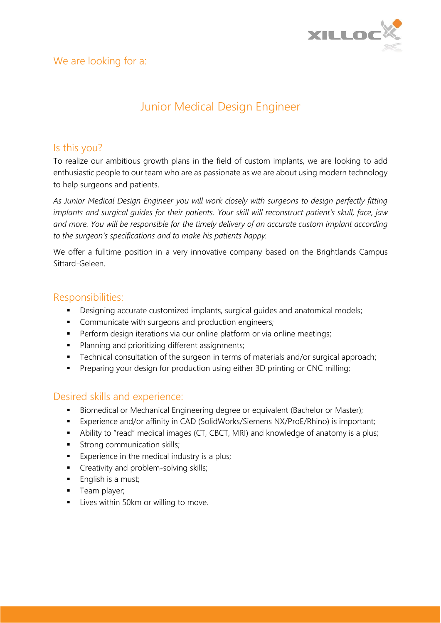

## Junior Medical Design Engineer

#### Is this you?

To realize our ambitious growth plans in the field of custom implants, we are looking to add enthusiastic people to our team who are as passionate as we are about using modern technology to help surgeons and patients.

*As Junior Medical Design Engineer you will work closely with surgeons to design perfectly fitting implants and surgical guides for their patients. Your skill will reconstruct patient's skull, face, jaw and more. You will be responsible for the timely delivery of an accurate custom implant according to the surgeon's specifications and to make his patients happy.*

We offer a fulltime position in a very innovative company based on the Brightlands Campus Sittard-Geleen.

#### Responsibilities:

- **•** Designing accurate customized implants, surgical guides and anatomical models;
- **•** Communicate with surgeons and production engineers;
- **•** Perform design iterations via our online platform or via online meetings;
- **•** Planning and prioritizing different assignments;
- Technical consultation of the surgeon in terms of materials and/or surgical approach;
- **•** Preparing your design for production using either 3D printing or CNC milling;

### Desired skills and experience:

- **E** Biomedical or Mechanical Engineering degree or equivalent (Bachelor or Master);
- Experience and/or affinity in CAD (SolidWorks/Siemens NX/ProE/Rhino) is important;
- Ability to "read" medical images (CT, CBCT, MRI) and knowledge of anatomy is a plus;
- **■** Strong communication skills;
- Experience in the medical industry is a plus;
- **•** Creativity and problem-solving skills;
- English is a must;
- **■** Team player;
- **■** Lives within 50km or willing to move.